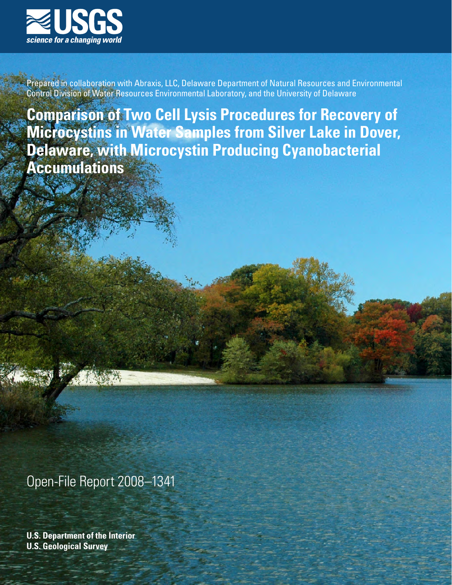

Prepared in collaboration with Abraxis, LLC, Delaware Department of Natural Resources and Environmental Control Division of Water Resources Environmental Laboratory, and the University of Delaware

**Comparison of Two Cell Lysis Procedures for Recovery of Microcystins in Water Samples from Silver Lake in Dover, Delaware, with Microcystin Producing Cyanobacterial Accumulations**

Open-File Report 2008–1341

**U.S. Department of the Interior U.S. Geological Survey**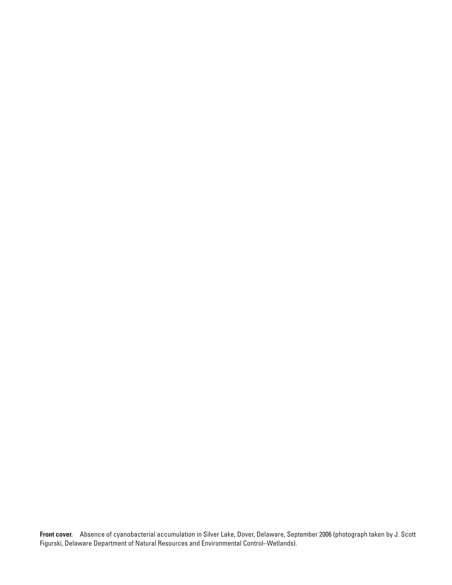**Front cover.** Absence of cyanobacterial accumulation in Silver Lake, Dover, Delaware, September 2006 (photograph taken by J. Scott Figurski, Delaware Department of Natural Resources and Environmental Control–Wetlands).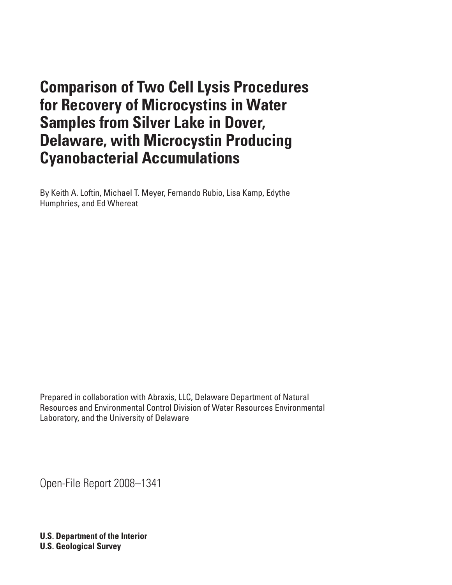# **Comparison of Two Cell Lysis Procedures for Recovery of Microcystins in Water Samples from Silver Lake in Dover, Delaware, with Microcystin Producing Cyanobacterial Accumulations**

By Keith A. Loftin, Michael T. Meyer, Fernando Rubio, Lisa Kamp, Edythe Humphries, and Ed Whereat

Prepared in collaboration with Abraxis, LLC, Delaware Department of Natural Resources and Environmental Control Division of Water Resources Environmental Laboratory, and the University of Delaware

Open-File Report 2008–1341

**U.S. Department of the Interior U.S. Geological Survey**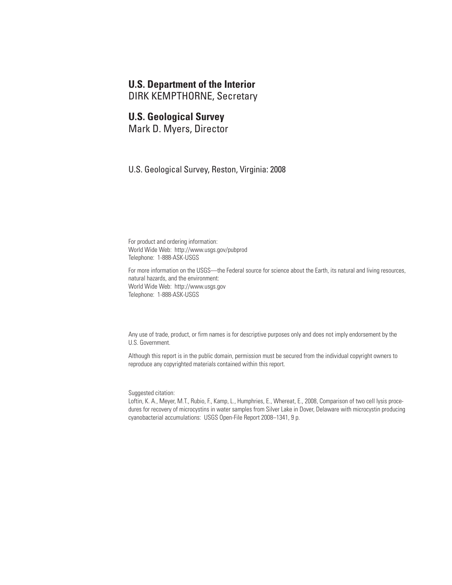### **U.S. Department of the Interior**

DIRK KEMPTHORNE, Secretary

#### **U.S. Geological Survey**

Mark D. Myers, Director

U.S. Geological Survey, Reston, Virginia: 2008

For product and ordering information: World Wide Web: http://www.usgs.gov/pubprod Telephone: 1-888-ASK-USGS

For more information on the USGS—the Federal source for science about the Earth, its natural and living resources, natural hazards, and the environment: World Wide Web: http://www.usgs.gov Telephone: 1-888-ASK-USGS

Any use of trade, product, or firm names is for descriptive purposes only and does not imply endorsement by the U.S. Government.

Although this report is in the public domain, permission must be secured from the individual copyright owners to reproduce any copyrighted materials contained within this report.

Suggested citation:

Loftin, K. A., Meyer, M.T., Rubio, F., Kamp, L., Humphries, E., Whereat, E., 2008, Comparison of two cell lysis procedures for recovery of microcystins in water samples from Silver Lake in Dover, Delaware with microcystin producing cyanobacterial accumulations: USGS Open-File Report 2008–1341, 9 p.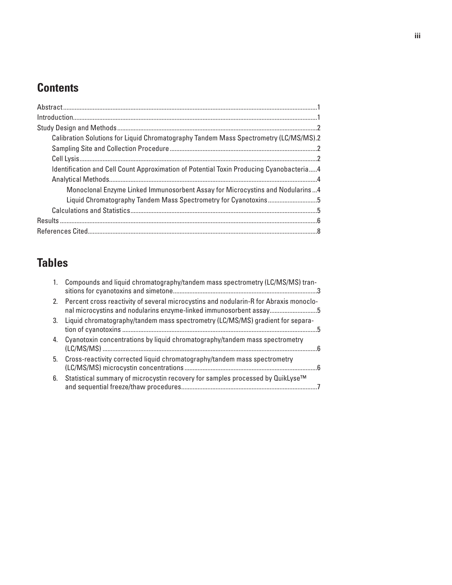## **Contents**

| Calibration Solutions for Liquid Chromatography Tandem Mass Spectrometry (LC/MS/MS).2   |  |
|-----------------------------------------------------------------------------------------|--|
|                                                                                         |  |
|                                                                                         |  |
| Identification and Cell Count Approximation of Potential Toxin Producing Cyanobacteria4 |  |
|                                                                                         |  |
| Monoclonal Enzyme Linked Immunosorbent Assay for Microcystins and Nodularins4           |  |
| Liquid Chromatography Tandem Mass Spectrometry for Cyanotoxins5                         |  |
|                                                                                         |  |
|                                                                                         |  |
|                                                                                         |  |

## **Tables**

| 1. | Compounds and liquid chromatography/tandem mass spectrometry (LC/MS/MS) tran-                                                                                  |
|----|----------------------------------------------------------------------------------------------------------------------------------------------------------------|
|    | 2. Percent cross reactivity of several microcystins and nodularin-R for Abraxis monoclo-<br>nal microcystins and nodularins enzyme-linked immunosorbent assay5 |
| 3. | Liquid chromatography/tandem mass spectrometry (LC/MS/MS) gradient for separa-                                                                                 |
| 4. | Cyanotoxin concentrations by liquid chromatography/tandem mass spectrometry                                                                                    |
| 5. | Cross-reactivity corrected liquid chromatography/tandem mass spectrometry                                                                                      |
| 6. | Statistical summary of microcystin recovery for samples processed by QuikLyse™                                                                                 |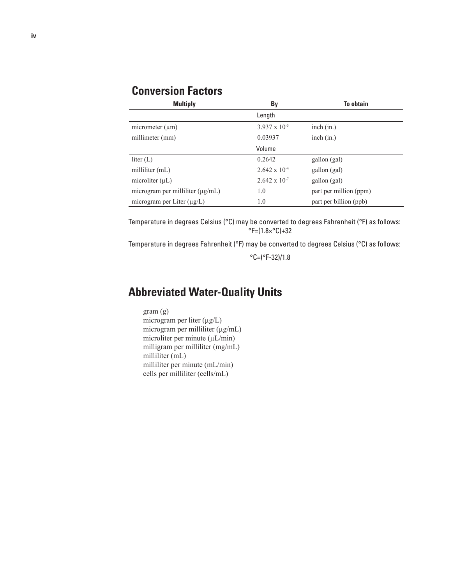## **Conversion Factors**

| <b>Multiply</b>                       | By                     | <b>To obtain</b>       |
|---------------------------------------|------------------------|------------------------|
|                                       | Length                 |                        |
| micrometer $(\mu m)$                  | $3.937 \times 10^{-5}$ | inch (in.)             |
| millimeter (mm)                       | 0.03937                | inch (in.)             |
|                                       | Volume                 |                        |
| liter $(L)$                           | 0.2642                 | gallon (gal)           |
| milliliter $(mL)$                     | $2.642 \times 10^{-4}$ | gallon (gal)           |
| microliter $(\mu L)$                  | $2.642 \times 10^{-7}$ | gallon (gal)           |
| microgram per milliliter $(\mu g/mL)$ | 1.0                    | part per million (ppm) |
| microgram per Liter (µg/L)            | 1.0                    | part per billion (ppb) |

Temperature in degrees Celsius (°C) may be converted to degrees Fahrenheit (°F) as follows:  $\textdegree$ F=(1.8× $\textdegree$ C)+32

Temperature in degrees Fahrenheit (°F) may be converted to degrees Celsius (°C) as follows:

 $°C = (°F-32)/1.8$ 

## **Abbreviated Water-Quality Units**

gram (g) microgram per liter (µg/L) microgram per milliliter (µg/mL) microliter per minute (µL/min) milligram per milliliter (mg/mL) milliliter (mL) milliliter per minute (mL/min) cells per milliliter (cells/mL)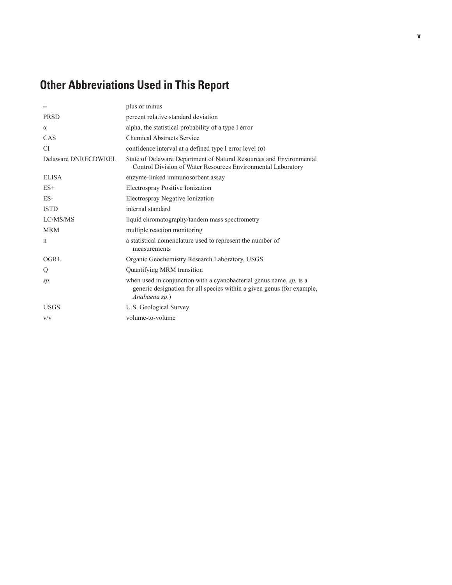## **Other Abbreviations Used in This Report**

| 士                   | plus or minus                                                                                                                                                     |
|---------------------|-------------------------------------------------------------------------------------------------------------------------------------------------------------------|
| <b>PRSD</b>         | percent relative standard deviation                                                                                                                               |
| $\alpha$            | alpha, the statistical probability of a type I error                                                                                                              |
| CAS                 | <b>Chemical Abstracts Service</b>                                                                                                                                 |
| CI.                 | confidence interval at a defined type I error level $(\alpha)$                                                                                                    |
| Delaware DNRECDWREL | State of Delaware Department of Natural Resources and Environmental<br>Control Division of Water Resources Environmental Laboratory                               |
| <b>ELISA</b>        | enzyme-linked immunosorbent assay                                                                                                                                 |
| $ES+$               | Electrospray Positive Ionization                                                                                                                                  |
| ES-                 | Electrospray Negative Ionization                                                                                                                                  |
| <b>ISTD</b>         | internal standard                                                                                                                                                 |
| LC/MS/MS            | liquid chromatography/tandem mass spectrometry                                                                                                                    |
| <b>MRM</b>          | multiple reaction monitoring                                                                                                                                      |
| n                   | a statistical nomenclature used to represent the number of<br>measurements                                                                                        |
| <b>OGRL</b>         | Organic Geochemistry Research Laboratory, USGS                                                                                                                    |
| Q                   | Quantifying MRM transition                                                                                                                                        |
| sp.                 | when used in conjunction with a cyanobacterial genus name, $sp$ . is a<br>generic designation for all species within a given genus (for example,<br>Anabaena sp.) |
| <b>USGS</b>         | U.S. Geological Survey                                                                                                                                            |
| V/V                 | volume-to-volume                                                                                                                                                  |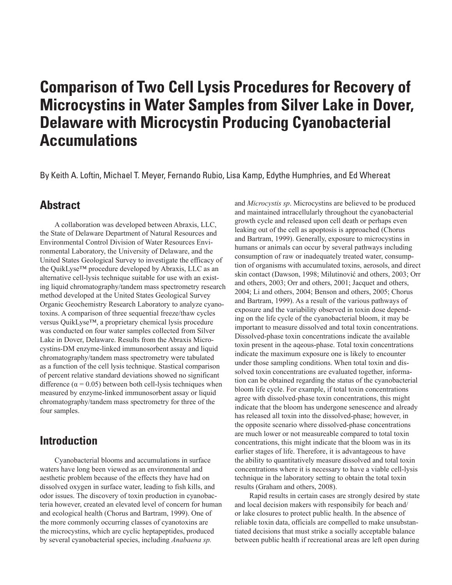# **Comparison of Two Cell Lysis Procedures for Recovery of Microcystins in Water Samples from Silver Lake in Dover, Delaware with Microcystin Producing Cyanobacterial Accumulations**

By Keith A. Loftin, Michael T. Meyer, Fernando Rubio, Lisa Kamp, Edythe Humphries, and Ed Whereat

### **Abstract**

A collaboration was developed between Abraxis, LLC, the State of Delaware Department of Natural Resources and Environmental Control Division of Water Resources Environmental Laboratory, the University of Delaware, and the United States Geological Survey to investigate the efficacy of the QuikLyse™ procedure developed by Abraxis, LLC as an alternative cell-lysis technique suitable for use with an existing liquid chromatography/tandem mass spectrometry research method developed at the United States Geological Survey Organic Geochemistry Research Laboratory to analyze cyanotoxins. A comparison of three sequential freeze/thaw cycles versus QuikLyse™, a proprietary chemical lysis procedure was conducted on four water samples collected from Silver Lake in Dover, Delaware. Results from the Abraxis Microcystins-DM enzyme-linked immunosorbent assay and liquid chromatography/tandem mass spectrometry were tabulated as a function of the cell lysis technique. Stastical comparison of percent relative standard deviations showed no significant difference ( $\alpha$  = 0.05) between both cell-lysis techniques when measured by enzyme-linked immunosorbent assay or liquid chromatography/tandem mass spectrometry for three of the four samples.

### **Introduction**

Cyanobacterial blooms and accumulations in surface waters have long been viewed as an environmental and aesthetic problem because of the effects they have had on dissolved oxygen in surface water, leading to fish kills, and odor issues. The discovery of toxin production in cyanobacteria however, created an elevated level of concern for human and ecological health (Chorus and Bartram, 1999). One of the more commonly occurring classes of cyanotoxins are the microcystins, which are cyclic heptapeptides, produced by several cyanobacterial species, including *Anabaena sp.*

and *Microcystis sp*. Microcystins are believed to be produced and maintained intracellularly throughout the cyanobacterial growth cycle and released upon cell death or perhaps even leaking out of the cell as apoptosis is approached (Chorus and Bartram, 1999). Generally, exposure to microcystins in humans or animals can occur by several pathways including consumption of raw or inadequately treated water, consumption of organisms with accumulated toxins, aerosols, and direct skin contact (Dawson, 1998; Milutinović and others, 2003; Orr and others, 2003; Orr and others, 2001; Jacquet and others, 2004; Li and others, 2004; Benson and others, 2005; Chorus and Bartram, 1999). As a result of the various pathways of exposure and the variability observed in toxin dose depending on the life cycle of the cyanobacterial bloom, it may be important to measure dissolved and total toxin concentrations. Dissolved-phase toxin concentrations indicate the available toxin present in the aqeous-phase. Total toxin concentrations indicate the maximum exposure one is likely to encounter under those sampling conditions. When total toxin and dissolved toxin concentrations are evaluated together, information can be obtained regarding the status of the cyanobacterial bloom life cycle. For example, if total toxin concentrations agree with dissolved-phase toxin concentrations, this might indicate that the bloom has undergone senescence and already has released all toxin into the dissolved-phase; however, in the opposite scenario where dissolved-phase concentrations are much lower or not measureable compared to total toxin concentrations, this might indicate that the bloom was in its earlier stages of life. Therefore, it is advantageous to have the ability to quantitatively measure dissolved and total toxin concentrations where it is necessary to have a viable cell-lysis technique in the laboratory setting to obtain the total toxin results (Graham and others, 2008).

Rapid results in certain cases are strongly desired by state and local decision makers with responsibily for beach and/ or lake closures to protect public health. In the absence of reliable toxin data, officials are compelled to make unsubstantiated decisions that must strike a socially acceptable balance between public health if recreational areas are left open during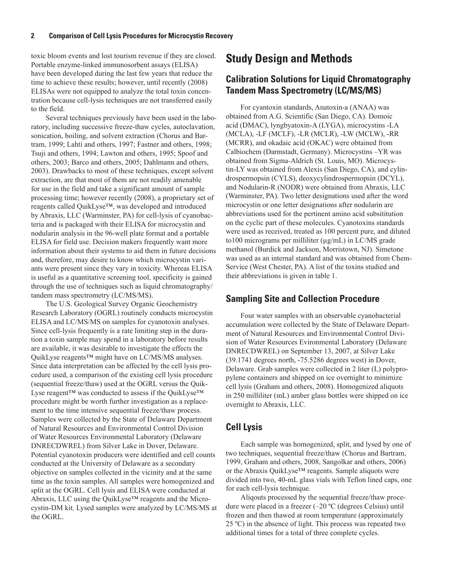toxic bloom events and lost tourism revenue if they are closed. Portable enzyme-linked immunosorbent assays (ELISA) have been developed during the last few years that reduce the time to achieve these results; however, until recently (2008) ELISAs were not equipped to analyze the total toxin concentration because cell-lysis techniques are not transferred easily to the field.

Several techniques previously have been used in the laboratory, including successive freeze-thaw cycles, autoclavation, sonication, boiling, and solvent extraction (Chorus and Bartram, 1999; Lahti and others, 1997; Fastner and others, 1998; Tsuji and others, 1994; Lawton and others, 1995; Spoof and others, 2003; Barco and others, 2005; Dahlmann and others, 2003). Drawbacks to most of these techniques, except solvent extraction, are that most of them are not readily amenable for use in the field and take a significant amount of sample processing time; however recently (2008), a proprietary set of reagents called QuikLyse™, was developed and introduced by Abraxis, LLC (Warminster, PA) for cell-lysis of cyanobacteria and is packaged with their ELISA for microcystin and nodularin analysis in the 96-well plate format and a portable ELISA for field use. Decision makers frequently want more information about their systems to aid them in future decisions and, therefore, may desire to know which microcystin variants were present since they vary in toxicity. Whereas ELISA is useful as a quantitative screening tool, specificity is gained through the use of techniques such as liquid chromatography/ tandem mass spectrometry (LC/MS/MS).

The U.S. Geological Survey Organic Geochemistry Research Laboratory (OGRL) routinely conducts microcystin ELISA and LC/MS/MS on samples for cyanotoxin analyses. Since cell-lysis frequently is a rate limiting step in the duration a toxin sample may spend in a laboratory before results are available, it was desirable to investigate the effects the QuikLyse reagents™ might have on LC/MS/MS analyses. Since data interpretation can be affected by the cell lysis procedure used, a comparison of the existing cell lysis procedure (sequential freeze/thaw) used at the OGRL versus the Quik-Lyse reagent™ was conducted to assess if the QuikLyse™ procedure might be worth further investigation as a replacement to the time intensive sequential freeze/thaw process. Samples were collected by the State of Delaware Department of Natural Resources and Environmental Control Division of Water Resources Environmental Laboratory (Delaware DNRECDWREL) from Silver Lake in Dover, Delaware. Potential cyanotoxin producers were identified and cell counts conducted at the University of Delaware as a secondary objective on samples collected in the vicinity and at the same time as the toxin samples. All samples were homogenized and split at the OGRL. Cell lysis and ELISA were conducted at Abraxis, LLC using the QuikLyse™ reagents and the Microcystin-DM kit. Lysed samples were analyzed by LC/MS/MS at the OGRL.

### **Study Design and Methods**

#### **Calibration Solutions for Liquid Chromatography Tandem Mass Spectrometry (LC/MS/MS)**

For cyantoxin standards, Anatoxin-a (ANAA) was obtained from A.G. Scientific (San Diego, CA). Domoic acid (DMAC), lyngbyatoxin-A (LYGA), microcystins -LA (MCLA), -LF (MCLF), -LR (MCLR), -LW (MCLW), -RR (MCRR), and okadaic acid (OKAC) were obtained from Calbiochem (Darmstadt, Germany). Microcystins –YR was obtained from Sigma-Aldrich (St. Louis, MO). Microcystin-LY was obtained from Alexis (San Diego, CA), and cylindrospermopsin (CYLS), deoxycylindrospermopsin (DCYL), and Nodularin-R (NODR) were obtained from Abraxis, LLC (Warminster, PA). Two letter designations used after the word microcystin or one letter designations after nodularin are abbreviations used for the pertinent amino acid subsititution on the cyclic part of these molecules. Cyanotoxins standards were used as received, treated as 100 percent pure, and diluted to100 micrograms per milliliter (µg/mL) in LC/MS grade methanol (Burdick and Jackson, Morristown, NJ). Simetone was used as an internal standard and was obtained from Chem-Service (West Chester, PA). A list of the toxins studied and their abbreviations is given in table 1.

#### **Sampling Site and Collection Procedure**

Four water samples with an observable cyanobacterial accumulation were collected by the State of Delaware Department of Natural Resources and Environmental Control Division of Water Resources Evironmental Laboratory (Delaware DNRECDWREL) on September 13, 2007, at Silver Lake (39.1741 degrees north, -75.5286 degrees west) in Dover, Delaware. Grab samples were collected in 2 liter (L) polypropylene containers and shipped on ice overnight to minimize cell lysis (Graham and others, 2008). Homogenized aliquots in 250 milliliter (mL) amber glass bottles were shipped on ice overnight to Abraxis, LLC.

#### **Cell Lysis**

Each sample was homogenized, split, and lysed by one of two techniques, sequential freeze/thaw (Chorus and Bartram, 1999, Graham and others, 2008, Sangolkar and others, 2006) or the Abraxis QuikLyse™ reagents. Sample aliquots were divided into two, 40-mL glass vials with Teflon lined caps, one for each cell-lysis technique.

Aliqouts processed by the sequential freeze/thaw procedure were placed in a freezer (–20 ºC (degrees Celsius) until frozen and then thawed at room temperature (approximately 25 ºC) in the absence of light. This process was repeated two additional times for a total of three complete cycles.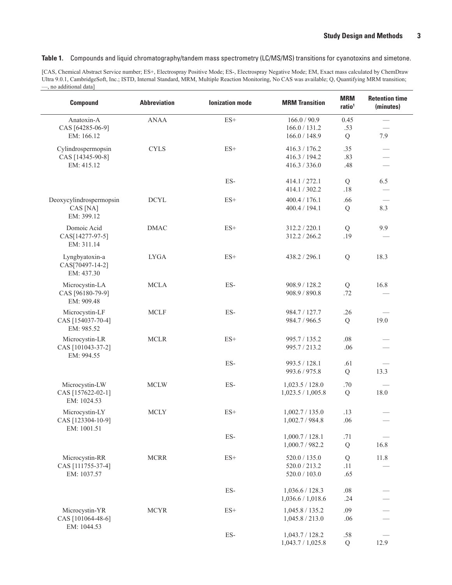**Table 1.** Compounds and liquid chromatography/tandem mass spectrometry (LC/MS/MS) transitions for cyanotoxins and simetone.

[CAS, Chemical Abstract Service number; ES+, Electrospray Positive Mode; ES-, Electrospray Negative Mode; EM, Exact mass calculated by ChemDraw Ultra 9.0.1, CambridgeSoft, Inc.; ISTD, Internal Standard, MRM, Multiple Reaction Monitoring, No CAS was available; Q, Quantifying MRM transition; —, no additional data]

| <b>Compound</b>                                                    | <b>Abbreviation</b> | <b>lonization</b> mode    | <b>MRM Transition</b>                                            | <b>MRM</b><br>ratio <sup>1</sup> | <b>Retention time</b><br>(minutes) |
|--------------------------------------------------------------------|---------------------|---------------------------|------------------------------------------------------------------|----------------------------------|------------------------------------|
| Anatoxin-A<br>CAS [64285-06-9]                                     | <b>ANAA</b>         | $ES+$                     | 166.0 / 90.9<br>166.0 / 131.2                                    | 0.45<br>.53                      |                                    |
| EM: 166.12<br>Cylindrospermopsin<br>CAS [14345-90-8]<br>EM: 415.12 | <b>CYLS</b>         | $ES+$                     | 166.0 / 148.9<br>416.3 / 176.2<br>416.3 / 194.2<br>416.3 / 336.0 | Q<br>.35<br>.83<br>.48           | 7.9<br>$\equiv$                    |
|                                                                    |                     | ES-                       | 414.1/272.1<br>414.1 / 302.2                                     | $\mathbf Q$<br>.18               | 6.5                                |
| Deoxycylindrospermopsin<br>CAS [NA]<br>EM: 399.12                  | <b>DCYL</b>         | $ES+$                     | 400.4 / 176.1<br>400.4 / 194.1                                   | .66<br>Q                         | 8.3                                |
| Domoic Acid<br>CAS[14277-97-5]<br>EM: 311.14                       | <b>DMAC</b>         | $ES+$                     | 312.2 / 220.1<br>312.2 / 266.2                                   | Q<br>.19                         | 9.9                                |
| Lyngbyatoxin-a<br>CAS[70497-14-2]<br>EM: 437.30                    | <b>LYGA</b>         | $ES+$                     | 438.2 / 296.1                                                    | Q                                | 18.3                               |
| Microcystin-LA<br>CAS [96180-79-9]<br>EM: 909.48                   | <b>MCLA</b>         | ES-                       | 908.9 / 128.2<br>908.9 / 890.8                                   | Q<br>.72                         | 16.8                               |
| Microcystin-LF<br>CAS [154037-70-4]<br>EM: 985.52                  | <b>MCLF</b>         | ES-                       | 984.7 / 127.7<br>984.7 / 966.5                                   | .26<br>Q                         | 19.0                               |
| Microcystin-LR<br>CAS [101043-37-2]<br>EM: 994.55                  | <b>MCLR</b>         | $ES+$                     | 995.7 / 135.2<br>995.7 / 213.2                                   | .08<br>.06                       |                                    |
|                                                                    |                     | $\mathop{\hbox{\rm ES-}}$ | 993.5 / 128.1<br>993.6 / 975.8                                   | .61<br>${\bf Q}$                 | 13.3                               |
| Microcystin-LW<br>CAS [157622-02-1]<br>EM: 1024.53                 | $\sf MCLW$          | $\mathop{\hbox{\rm ES-}}$ | 1,023.5 / 128.0<br>1,023.5 / 1,005.8                             | .70<br>${\bf Q}$                 | 18.0                               |
| Microcystin-LY<br>CAS [123304-10-9]<br>EM: 1001.51                 | <b>MCLY</b>         | $ES+$                     | 1,002.7 / 135.0<br>1,002.7/984.8                                 | .13<br>.06                       |                                    |
|                                                                    |                     | $_{\rm ES}$ -             | 1,000.7 / 128.1<br>1,000.7/982.2                                 | .71<br>${\bf Q}$                 | 16.8                               |
| Microcystin-RR<br>CAS [111755-37-4]<br>EM: 1037.57                 | <b>MCRR</b>         | $ES+$                     | 520.0 / 135.0<br>520.0 / 213.2<br>520.0 / 103.0                  | Q<br>.11<br>.65                  | 11.8                               |
|                                                                    |                     | ES-                       | 1,036.6 / 128.3<br>1,036.6 / 1,018.6                             | $.08\,$<br>.24                   |                                    |
| Microcystin-YR<br>CAS [101064-48-6]<br>EM: 1044.53                 | <b>MCYR</b>         | $ES+$                     | 1,045.8 / 135.2<br>1,045.8 / 213.0                               | .09<br>.06                       |                                    |
|                                                                    |                     | $\mathop{\hbox{\rm ES-}}$ | 1,043.7/128.2<br>1,043.7 / 1,025.8                               | .58<br>Q                         | 12.9                               |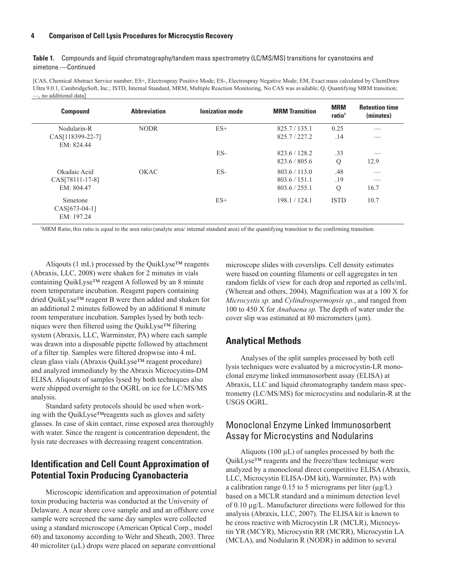#### **4 Comparison of Cell Lysis Procedures for Microcystin Recovery**

**Table 1.** Compounds and liquid chromatography/tandem mass spectrometry (LC/MS/MS) transitions for cyanotoxins and simetone.—Continued

[CAS, Chemical Abstract Service number; ES+, Electrospray Positive Mode; ES-, Electrospray Negative Mode; EM, Exact mass calculated by ChemDraw Ultra 9.0.1, CambridgeSoft, Inc.; ISTD, Internal Standard, MRM, Multiple Reaction Monitoring, No CAS was available; Q, Quantifying MRM transition; —, no additional data]

| <b>Compound</b>                         | <b>Abbreviation</b> | <b>Ionization mode</b> | <b>MRM Transition</b> | <b>MRM</b><br>ratio <sup>1</sup> | <b>Retention time</b><br>(minutes) |
|-----------------------------------------|---------------------|------------------------|-----------------------|----------------------------------|------------------------------------|
| Nodularin-R                             | <b>NODR</b>         | $ES+$                  | 825.7 / 135.1         | 0.25                             |                                    |
| CAS[118399-22-7]                        |                     |                        | 825.7/227.2           | .14                              |                                    |
| EM: 824.44                              |                     |                        |                       |                                  |                                    |
|                                         |                     | $ES-$                  | 823.6 / 128.2         | .33                              |                                    |
|                                         |                     |                        | 823.6 / 805.6         | Q                                | 12.9                               |
| Okadaic Acid                            | OKAC                | $ES-$                  | 803.6 / 113.0         | .48                              |                                    |
| CAS[78111-17-8]                         |                     |                        | 803.6 / 151.1         | .19                              |                                    |
| EM: 804.47                              |                     |                        | 803.6 / 255.1         | $\mathbf Q$                      | 16.7                               |
| Simetone<br>CAS[673-04-1]<br>EM: 197.24 |                     | $ES+$                  | 198.1 / 124.1         | <b>ISTD</b>                      | 10.7                               |

1 MRM Ratio, this ratio is equal to the area ratio (analyte area/ internal standard area) of the quantifying transition to the confirming transition.

Aliqouts (1 mL) processed by the QuikLyse<sup>TM</sup> reagents (Abraxis, LLC, 2008) were shaken for 2 minutes in vials containing QuikLyse™ reagent A followed by an 8 minute room temperature incubation. Reagent papers containing dried QuikLyse™ reagent B were then added and shaken for an additional 2 minutes followed by an additional 8 minute room temperature incubation. Samples lysed by both techniques were then filtered using the QuikLyse™ filtering system (Abraxis, LLC, Warminster, PA) where each sample was drawn into a disposable pipette followed by attachment of a filter tip. Samples were filtered dropwise into 4 mL clean glass vials (Abraxis QuikLyse™ reagent procedure) and analyzed immediately by the Abraxis Microcystins-DM ELISA. Aliqouts of samples lysed by both techniques also were shipped overnight to the OGRL on ice for LC/MS/MS analysis.

Standard safety protocols should be used when working with the QuikLyse™reagents such as gloves and safety glasses. In case of skin contact, rinse exposed area thoroughly with water. Since the reagent is concentration dependent, the lysis rate decreases with decreasing reagent concentration.

### **Identification and Cell Count Approximation of Potential Toxin Producing Cyanobacteria**

Microscopic identification and approximation of potential toxin producing bacteria was conducted at the University of Delaware. A near shore cove sample and and an offshore cove sample were screened the same day samples were collected using a standard microscope (American Optical Corp., model 60) and taxonomy according to Wehr and Sheath, 2003. Three 40 microliter  $(\mu L)$  drops were placed on separate conventional

microscope slides with coverslips. Cell density estimates were based on counting filaments or cell aggregates in ten random fields of view for each drop and reported as cells/mL (Whereat and others, 2004). Magnification was at a 100 X for *Microcystis sp.* and *Cylindrospermopsis sp.*, and ranged from 100 to 450 X for *Anabaena sp.* The depth of water under the cover slip was estimated at 80 micrometers  $(\mu m)$ .

#### **Analytical Methods**

Analyses of the split samples processed by both cell lysis techniques were evaluated by a microcystin-LR monoclonal enzyme linked immunosorbent assay (ELISA) at Abraxis, LLC and liquid chromatography tandem mass spectrometry (LC/MS/MS) for microcystins and nodularin-R at the USGS OGRL.

#### Monoclonal Enzyme Linked Immunosorbent Assay for Microcystins and Nodularins

Aliquots (100  $\mu$ L) of samples processed by both the QuikLyse™ reagents and the freeze/thaw technique were analyzed by a monoclonal direct competitive ELISA (Abraxis, LLC, Microcystin ELISA-DM kit), Warminster, PA) with a calibration range  $0.15$  to 5 micrograms per liter ( $\mu$ g/L) based on a MCLR standard and a minimum detection level of 0.10 µg/L. Manufacturer directions were followed for this analysis (Abraxis, LLC, 2007). The ELISA kit is known to be cross reactive with Microcystin LR (MCLR), Microcystin YR (MCYR), Microcystin RR (MCRR), Microcystin LA (MCLA), and Nodularin R (NODR) in addition to several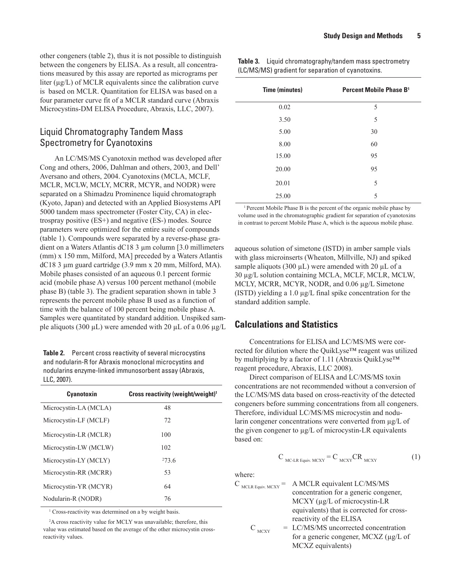other congeners (table 2), thus it is not possible to distinguish between the congeners by ELISA. As a result, all concentrations measured by this assay are reported as micrograms per liter  $(\mu g/L)$  of MCLR equivalents since the calibration curve is based on MCLR. Quantitation for ELISA was based on a four parameter curve fit of a MCLR standard curve (Abraxis Microcystins-DM ELISA Procedure, Abraxis, LLC, 2007).

#### Liquid Chromatography Tandem Mass Spectrometry for Cyanotoxins

An LC/MS/MS Cyanotoxin method was developed after Cong and others, 2006, Dahlman and others, 2003, and Dell' Aversano and others, 2004. Cyanotoxins (MCLA, MCLF, MCLR, MCLW, MCLY, MCRR, MCYR, and NODR) were separated on a Shimadzu Prominence liquid chromatograph (Kyoto, Japan) and detected with an Applied Biosystems API 5000 tandem mass spectrometer (Foster City, CA) in electrospray positive (ES+) and negative (ES-) modes. Source parameters were optimized for the entire suite of compounds (table 1). Compounds were separated by a reverse-phase gradient on a Waters Atlantis dC18 3 µm column [3.0 millimeters (mm) x 150 mm, Milford, MA] preceded by a Waters Atlantis dC18 3 µm guard cartridge (3.9 mm x 20 mm, Milford, MA). Mobile phases consisted of an aqueous 0.1 percent formic acid (mobile phase A) versus 100 percent methanol (mobile phase B) (table 3). The gradient separation shown in table 3 represents the percent mobile phase B used as a function of time with the balance of 100 percent being mobile phase A. Samples were quantitated by standard addition. Unspiked sample aliquots (300  $\mu$ L) were amended with 20  $\mu$ L of a 0.06  $\mu$ g/L

**Table 2.** Percent cross reactivity of several microcystins and nodularin-R for Abraxis monoclonal microcystins and nodularins enzyme-linked immunosorbent assay (Abraxis, LLC, 2007).

| Cyanotoxin            | Cross reactivity (weight/weight) <sup>1</sup> |
|-----------------------|-----------------------------------------------|
| Microcystin-LA (MCLA) | 48                                            |
| Microcystin-LF (MCLF) | 72                                            |
| Microcystin-LR (MCLR) | 100                                           |
| Microcystin-LW (MCLW) | 102                                           |
| Microcystin-LY (MCLY) | 2736                                          |
| Microcystin-RR (MCRR) | 53                                            |
| Microcystin-YR (MCYR) | 64                                            |
| Nodularin-R (NODR)    | 76                                            |

<sup>1</sup> Cross-reactivity was determined on a by weight basis.

2 A cross reactivity value for MCLY was unavailable; therefore, this value was estimated based on the average of the other microcystin crossreactivity values.

**Table 3.** Liquid chromatography/tandem mass spectrometry (LC/MS/MS) gradient for separation of cyanotoxins.

| <b>Time (minutes)</b> | Percent Mobile Phase B <sup>1</sup> |
|-----------------------|-------------------------------------|
| 0.02                  | 5                                   |
| 3.50                  | 5                                   |
| 5.00                  | 30                                  |
| 8.00                  | 60                                  |
| 15.00                 | 95                                  |
| 20.00                 | 95                                  |
| 20.01                 | 5                                   |
| 25.00                 | 5                                   |

<sup>1</sup> Percent Mobile Phase B is the percent of the organic mobile phase by volume used in the chromatographic gradient for separation of cyanotoxins in contrast to percent Mobile Phase A, which is the aqueous mobile phase.

aqueous solution of simetone (ISTD) in amber sample vials with glass microinserts (Wheaton, Millville, NJ) and spiked sample aliquots (300  $\mu$ L) were amended with 20  $\mu$ L of a 30 µg/L solution containing MCLA, MCLF, MCLR, MCLW, MCLY, MCRR, MCYR, NODR, and 0.06 µg/L Simetone (ISTD) yielding a 1.0 µg/L final spike concentration for the standard addition sample.

#### **Calculations and Statistics**

Concentrations for ELISA and LC/MS/MS were corrected for dilution where the QuikLyse™ reagent was utilized by multiplying by a factor of 1.11 (Abraxis QuikLyse™ reagent procedure, Abraxis, LLC 2008).

Direct comparison of ELISA and LC/MS/MS toxin concentrations are not recommended without a conversion of the LC/MS/MS data based on cross-reactivity of the detected congeners before summing concentrations from all congeners. Therefore, individual LC/MS/MS microcystin and nodularin congener concentrations were converted from  $\mu$ g/L of the given congener to µg/L of microcystin-LR equivalents based on:

$$
C_{\text{MC-LR} \text{ Equiv. MCXY}} = C_{\text{MCXY}} C R_{\text{MCXY}}
$$
 (1)

where:

- $C_{\text{MCLR Equity-MCXY}} = A \text{ MCLR equivalent LC/MS/MS}$ concentration for a generic congener, MCXY ( $\mu$ g/L of microcystin-LR equivalents) that is corrected for crossreactivity of the ELISA  $C_{MCYY} = LC/MS/MS$  uncorrected concentration
	- for a generic congener, MCXZ (µg/L of MCXZ equivalents)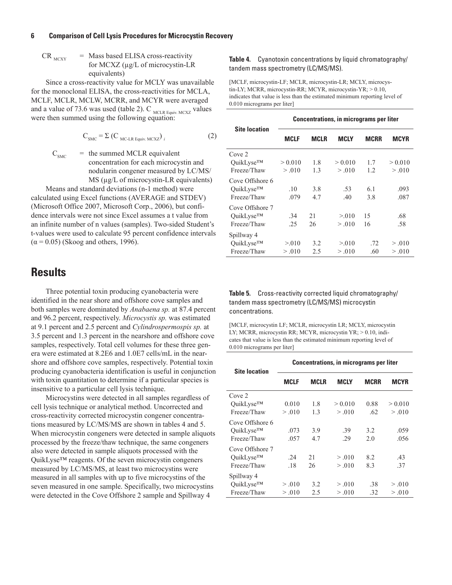$CR_{MCYY}$  = Mass based ELISA cross-reactivity for MCXZ (µg/L of microcystin-LR equivalents)

Since a cross-reactivity value for MCLY was unavailable for the monoclonal ELISA, the cross-reactivities for MCLA, MCLF, MCLR, MCLW, MCRR, and MCYR were averaged and a value of 73.6 was used (table 2). C  $_{\text{MCLR Equity, MCXZ}}$  values were then summed using the following equation:

$$
C_{\text{SMC}} = \Sigma (C_{\text{MC-LR} \text{ Equiv. MCXZ}})_{i}
$$
 (2)

 $C<sub>SMC</sub>$  = the summed MCLR equivalent concentration for each microcystin and nodularin congener measured by LC/MS/ MS ( $\mu$ g/L of microcystin-LR equivalents)

Means and standard deviations (n-1 method) were calculated using Excel functions (AVERAGE and STDEV) (Microsoft Office 2007, Microsoft Corp., 2006), but confidence intervals were not since Excel assumes a t value from an infinite number of n values (samples). Two-sided Student's t-values were used to calculate 95 percent confidence intervals  $(\alpha = 0.05)$  (Skoog and others, 1996).

### **Results**

Three potential toxin producing cyanobacteria were identified in the near shore and offshore cove samples and both samples were dominated by *Anabaena sp.* at 87.4 percent and 96.2 percent, respectively. *Microcystis sp.* was estimated at 9.1 percent and 2.5 percent and *Cylindrospermospis sp.* at 3.5 percent and 1.3 percent in the nearshore and offshore cove samples, respectively. Total cell volumes for these three genera were estimated at 8.2E6 and 1.0E7 cells/mL in the nearshore and offshore cove samples, respectively. Potential toxin producing cyanobacteria identification is useful in conjunction with toxin quantitation to determine if a particular species is insensitive to a particular cell lysis technique.

Microcystins were detected in all samples regardless of cell lysis technique or analytical method. Uncorrected and cross-reactivity corrected microcystin congener concentrations measured by LC/MS/MS are shown in tables 4 and 5. When microcystin congeners were detected in sample aliquots processed by the freeze/thaw technique, the same congeners also were detected in sample aliquots processed with the QuikLyse™ reagents. Of the seven microcystin congeners measured by LC/MS/MS, at least two microcystins were measured in all samples with up to five microcystins of the seven measured in one sample. Specifically, two microcystins were detected in the Cove Offshore 2 sample and Spillway 4

#### **Table 4.** Cyanotoxin concentrations by liquid chromatography/ tandem mass spectrometry (LC/MS/MS).

[MCLF, microcystin-LF; MCLR, microcystin-LR; MCLY, microcystin-LY; MCRR, microcystin-RR; MCYR, microcystin-YR; > 0.10, indicates that value is less than the estimated minimum reporting level of 0.010 micrograms per liter]

| <b>Site location</b> | <b>Concentrations, in micrograms per liter</b> |      |             |      |             |
|----------------------|------------------------------------------------|------|-------------|------|-------------|
|                      | <b>MCLF</b>                                    | MCLR | <b>MCLY</b> | MCRR | <b>MCYR</b> |
| Cove 2               |                                                |      |             |      |             |
| QuikLyse™            | > 0.010                                        | 1.8  | > 0.010     | 1.7  | > 0.010     |
| Freeze/Thaw          | > 0.010                                        | 1.3  | > .010      | 1.2  | > 0.010     |
| Cove Offshore 6      |                                                |      |             |      |             |
| OuikLyse™            | .10                                            | 3.8  | .53         | 6.1  | .093        |
| Freeze/Thaw          | .079                                           | 4.7  | .40         | 3.8  | .087        |
| Cove Offshore 7      |                                                |      |             |      |             |
| QuikLyse™            | .34                                            | 21   | > 0.010     | 15   | .68         |
| Freeze/Thaw          | .25                                            | 26   | > 0.010     | 16   | .58         |
| Spillway 4           |                                                |      |             |      |             |
| OuikLyse™            | > 0.010                                        | 3.2  | > 0.010     | .72  | > 0.010     |
| Freeze/Thaw          | > 0.010                                        | 2.5  | > .010      | .60  | > .010      |

**Table 5.** Cross-reactivity corrected liquid chromatography/ tandem mass spectrometry (LC/MS/MS) microcystin concentrations.

[MCLF, microcystin LF; MCLR, microcystin LR; MCLY, microcystin LY; MCRR, microcystin RR; MCYR, microcystin YR; > 0.10, indicates that value is less than the estimated minimum reporting level of 0.010 micrograms per liter]

| <b>Site location</b> | <b>Concentrations, in micrograms per liter</b> |             |         |             |         |
|----------------------|------------------------------------------------|-------------|---------|-------------|---------|
|                      | MCLF                                           | <b>MCLR</b> | MCLY    | <b>MCRR</b> | MCYR    |
| Cove 2               |                                                |             |         |             |         |
| OuikLyse™            | 0.010                                          | 1.8         | > 0.010 | 0.88        | > 0.010 |
| Freeze/Thaw          | > 0.010                                        | 1.3         | > 0.010 | .62         | > .010  |
| Cove Offshore 6      |                                                |             |         |             |         |
| OuikLyse™            | .073                                           | 3.9         | .39     | 3.2         | .059    |
| Freeze/Thaw          | .057                                           | 4.7         | .29     | 2.0         | .056    |
| Cove Offshore 7      |                                                |             |         |             |         |
| QuikLyse™            | .24                                            | 21          | > .010  | 8.2         | .43     |
| Freeze/Thaw          | .18                                            | 26          | > .010  | 8.3         | .37     |
| Spillway 4           |                                                |             |         |             |         |
| OuikLyse™            | > 0.010                                        | 3.2         | > 0.010 | .38         | > 0.010 |
| Freeze/Thaw          | > 0.010                                        | 2.5         | > 0.010 | .32         | > .010  |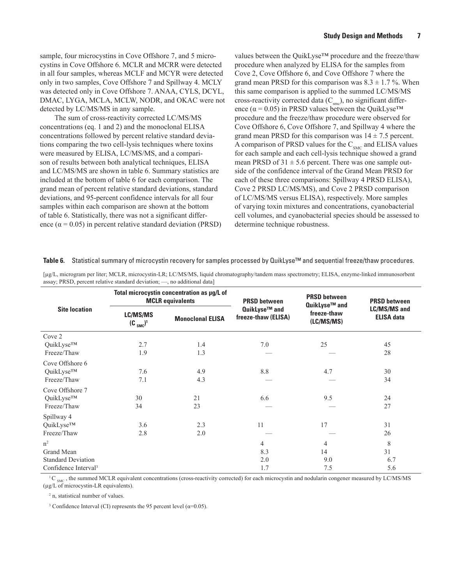sample, four microcystins in Cove Offshore 7, and 5 microcystins in Cove Offshore 6. MCLR and MCRR were detected in all four samples, whereas MCLF and MCYR were detected only in two samples, Cove Offshore 7 and Spillway 4. MCLY was detected only in Cove Offshore 7. ANAA, CYLS, DCYL, DMAC, LYGA, MCLA, MCLW, NODR, and OKAC were not detected by LC/MS/MS in any sample.

The sum of cross-reactivity corrected LC/MS/MS concentrations (eq. 1 and 2) and the monoclonal ELISA concentrations followed by percent relative standard deviations comparing the two cell-lysis techniques where toxins were measured by ELISA, LC/MS/MS, and a comparison of results between both analytical techniques, ELISA and LC/MS/MS are shown in table 6. Summary statistics are included at the bottom of table 6 for each comparison. The grand mean of percent relative standard deviations, standard deviations, and 95-percent confidence intervals for all four samples within each comparison are shown at the bottom of table 6. Statistically, there was not a significant difference ( $\alpha$  = 0.05) in percent relative standard deviation (PRSD)

values between the QuikLyse™ procedure and the freeze/thaw procedure when analyzed by ELISA for the samples from Cove 2, Cove Offshore 6, and Cove Offshore 7 where the grand mean PRSD for this comparison was  $8.3 \pm 1.7$ %. When this same comparison is applied to the summed LC/MS/MS cross-reactivity corrected data  $(C<sub>smc</sub>)$ , no significant difference ( $\alpha$  = 0.05) in PRSD values between the QuikLyse<sup>TM</sup> procedure and the freeze/thaw procedure were observed for Cove Offshore 6, Cove Offshore 7, and Spillway 4 where the grand mean PRSD for this comparison was  $14 \pm 7.5$  percent. A comparison of PRSD values for the  $C<sub>SMC</sub>$  and ELISA values for each sample and each cell-lysis technique showed a grand mean PRSD of  $31 \pm 5.6$  percent. There was one sample outside of the confidence interval of the Grand Mean PRSD for each of these three comparisons: Spillway 4 PRSD ELISA), Cove 2 PRSD LC/MS/MS), and Cove 2 PRSD comparison of LC/MS/MS versus ELISA), respectively. More samples of varying toxin mixtures and concentrations, cyanobacterial cell volumes, and cyanobacterial species should be assessed to determine technique robustness.

| assay, I RSD, percent relative standard deviation, |                           | $, no$ additional data                                                |                                      |                                      |                                          |
|----------------------------------------------------|---------------------------|-----------------------------------------------------------------------|--------------------------------------|--------------------------------------|------------------------------------------|
| <b>Site location</b>                               |                           | Total microcystin concentration as µg/L of<br><b>MCLR</b> equivalents | <b>PRSD between</b>                  | <b>PRSD between</b><br>QuikLyse™ and | <b>PRSD between</b>                      |
|                                                    | LC/MS/MS<br>$(C_{SMC})^1$ | <b>Monoclonal ELISA</b>                                               | QuikLyse™ and<br>freeze-thaw (ELISA) | freeze-thaw<br>(LC/MS/MS)            | <b>LC/MS/MS and</b><br><b>ELISA data</b> |
| Cove 2                                             |                           |                                                                       |                                      |                                      |                                          |
| QuikLyse™                                          | 2.7                       | 1.4                                                                   | 7.0                                  | 25                                   | 45                                       |
| Freeze/Thaw                                        | 1.9                       | 1.3                                                                   |                                      |                                      | 28                                       |
| Cove Offshore 6                                    |                           |                                                                       |                                      |                                      |                                          |
| QuikLyse™                                          | 7.6                       | 4.9                                                                   | $8.8\,$                              | 4.7                                  | 30                                       |
| Freeze/Thaw                                        | 7.1                       | 4.3                                                                   |                                      |                                      | 34                                       |
| Cove Offshore 7                                    |                           |                                                                       |                                      |                                      |                                          |
| QuikLyse™                                          | 30                        | 21                                                                    | 6.6                                  | 9.5                                  | 24                                       |
| Freeze/Thaw                                        | 34                        | 23                                                                    |                                      |                                      | 27                                       |
| Spillway 4                                         |                           |                                                                       |                                      |                                      |                                          |
| QuikLyse™                                          | 3.6                       | 2.3                                                                   | 11                                   | 17                                   | 31                                       |
| Freeze/Thaw                                        | 2.8                       | 2.0                                                                   |                                      |                                      | 26                                       |
| n <sup>2</sup>                                     |                           |                                                                       | 4                                    | 4                                    | 8                                        |
| Grand Mean                                         |                           |                                                                       | 8.3                                  | 14                                   | 31                                       |
| <b>Standard Deviation</b>                          |                           |                                                                       | 2.0                                  | 9.0                                  | 6.7                                      |
| Confidence Interval <sup>3</sup>                   |                           |                                                                       | 1.7                                  | 7.5                                  | 5.6                                      |

**Table 6.** Statistical summary of microcystin recovery for samples processed by QuikLyse™ and sequential freeze/thaw procedures.

[µg/L, microgram per liter; MCLR, microcystin-LR; LC/MS/MS, liquid chromatography/tandem mass spectrometry; ELISA, enzyme-linked immunosorbent assay: PRSD, percent relative standard deviation: — no additional datal av; PRSD, percent relative standard deviation;  $\overline{\phantom{a}}$ 

 ${}^{1}C_{SMC}$ , the summed MCLR equivalent concentrations (cross-reactivity corrected) for each microcystin and nodularin congener measured by LC/MS/MS (µg/L of microcystin-LR equivalents).

2 n, statistical number of values.

<sup>3</sup> Confidence Interval (CI) represents the 95 percent level ( $α=0.05$ ).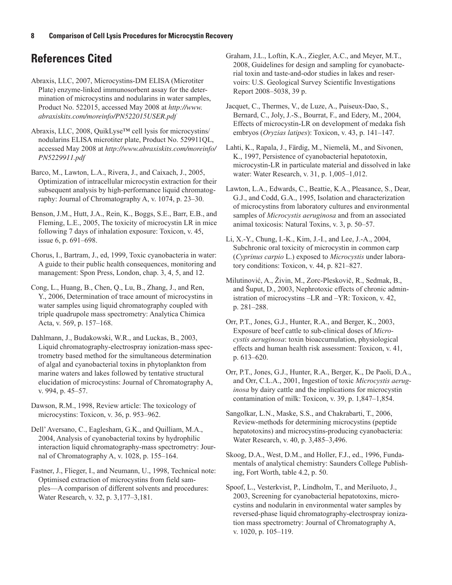## **References Cited**

Abraxis, LLC, 2007, Microcystins-DM ELISA (Microtiter Plate) enzyme-linked immunosorbent assay for the determination of microcystins and nodularins in water samples, Product No. 522015, accessed May 2008 at *[http://www.](http://www.abraxiskits.com/moreinfo/PN522015USER.pdf) [abraxiskits.com/moreinfo/PN522015USER.pdf](http://www.abraxiskits.com/moreinfo/PN522015USER.pdf)*

Abraxis, LLC, 2008, QuikLyse™ cell lysis for microcystins/ nodularins ELISA microtiter plate, Product No. 529911QL, accessed May 2008 at *http://www.abraxiskits.com/moreinfo/ PN5229911.pdf*

Barco, M., Lawton, L.A., Rivera, J., and Caixach, J., 2005, Optimization of intracellular microcystin extraction for their subsequent analysis by high-performance liquid chromatography: Journal of Chromatography A, v. 1074, p. 23–30.

Benson, J.M., Hutt, J.A., Rein, K., Boggs, S.E., Barr, E.B., and Fleming, L.E., 2005, The toxicity of microcystin LR in mice following 7 days of inhalation exposure: Toxicon, v. 45, issue 6, p. 691–698.

Chorus, I., Bartram, J., ed, 1999, Toxic cyanobacteria in water: A guide to their public health consequences, monitoring and management: Spon Press, London, chap. 3, 4, 5, and 12.

Cong, L., Huang, B., Chen, Q., Lu, B., Zhang, J., and Ren, Y., 2006, Determination of trace amount of microcystins in water samples using liquid chromatography coupled with triple quadrupole mass spectrometry: Analytica Chimica Acta, v. 569, p. 157–168.

Dahlmann, J., Budakowski, W.R., and Luckas, B., 2003, Liquid chromatography-electrospray ionization-mass spectrometry based method for the simultaneous determination of algal and cyanobacterial toxins in phytoplankton from marine waters and lakes followed by tentative structural elucidation of microcystins: Journal of Chromatography A, v. 994, p. 45–57.

Dawson, R.M., 1998, Review article: The toxicology of microcystins: Toxicon, v. 36, p. 953–962.

Dell' Aversano, C., Eaglesham, G.K., and Quilliam, M.A., 2004, Analysis of cyanobacterial toxins by hydrophilic interaction liquid chromatography-mass spectrometry: Journal of Chromatography A, v. 1028, p. 155–164.

Fastner, J., Flieger, I., and Neumann, U., 1998, Technical note: Optimised extraction of microcystins from field samples—A comparison of different solvents and procedures: Water Research, v. 32, p. 3,177–3,181.

Graham, J.L., Loftin, K.A., Ziegler, A.C., and Meyer, M.T., 2008, Guidelines for design and sampling for cyanobacterial toxin and taste-and-odor studies in lakes and reservoirs: U.S. Geological Survey Scientific Investigations Report 2008–5038, 39 p.

Jacquet, C., Thermes, V., de Luze, A., Puiseux-Dao, S., Bernard, C., Joly, J.-S., Bourrat, F., and Edery, M., 2004, Effects of microcystin-LR on development of medaka fish embryos (*Oryzias latipes*): Toxicon, v. 43, p. 141–147.

Lahti, K., Rapala, J., Färdig, M., Niemelä, M., and Sivonen, K., 1997, Persistence of cyanobacterial hepatotoxin, microcystin-LR in particulate material and dissolved in lake water: Water Research, v. 31, p. 1,005–1,012.

Lawton, L.A., Edwards, C., Beattie, K.A., Pleasance, S., Dear, G.J., and Codd, G.A., 1995, Isolation and characterization of microcystins from laboratory cultures and environmental samples of *Microcystis aeruginosa* and from an associated animal toxicosis: Natural Toxins, v. 3, p. 50–57.

Li, X.-Y., Chung, I.-K., Kim, J.-I., and Lee, J.-A., 2004, Subchronic oral toxicity of microcystin in common carp (*Cyprinus carpio* L.) exposed to *Microcystis* under laboratory conditions: Toxicon, v. 44, p. 821–827.

Milutinović, A., Živin, M., Zorc-Pleskovič, R., Sedmak, B., and Šuput, D., 2003, Nephrotoxic effects of chronic administration of microcystins –LR and –YR: Toxicon, v. 42, p. 281–288.

Orr, P.T., Jones, G.J., Hunter, R.A., and Berger, K., 2003, Exposure of beef cattle to sub-clinical doses of *Microcystis aeruginosa*: toxin bioaccumulation, physiological effects and human health risk assessment: Toxicon, v. 41, p. 613–620.

Orr, P.T., Jones, G.J., Hunter, R.A., Berger, K., De Paoli, D.A., and Orr, C.L.A., 2001, Ingestion of toxic *Microcystis aeruginosa* by dairy cattle and the implications for microcystin contamination of milk: Toxicon, v. 39, p. 1,847–1,854.

Sangolkar, L.N., Maske, S.S., and Chakrabarti, T., 2006, Review-methods for determining microcystins (peptide hepatotoxins) and microcystins-producing cyanobacteria: Water Research, v. 40, p. 3,485–3,496.

Skoog, D.A., West, D.M., and Holler, F.J., ed., 1996, Fundamentals of analytical chemistry: Saunders College Publishing, Fort Worth, table 4.2, p. 50.

Spoof, L., Vesterkvist, P., Lindholm, T., and Meriluoto, J., 2003, Screening for cyanobacterial hepatotoxins, microcystins and nodularin in environmental water samples by reversed-phase liquid chromatography-electrospray ionization mass spectrometry: Journal of Chromatography A, v. 1020, p. 105–119.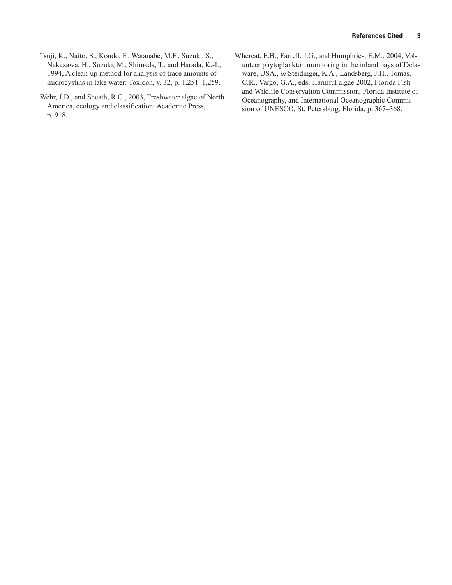- Tsuji, K., Naito, S., Kondo, F., Watanabe, M.F., Suzuki, S., Nakazawa, H., Suzuki, M., Shimada, T., and Harada, K.-I., 1994, A clean-up method for analysis of trace amounts of microcystins in lake water: Toxicon, v. 32, p. 1,251–1,259.
- Wehr, J.D., and Sheath, R.G., 2003, Freshwater algae of North America, ecology and classification: Academic Press, p. 918.
- Whereat, E.B., Farrell, J.G., and Humphries, E.M., 2004, Volunteer phytoplankton monitoring in the inland bays of Delaware, USA., *in* Steidinger, K.A., Landsberg, J.H., Tomas, C.R., Vargo, G.A., eds, Harmful algae 2002, Florida Fish and Wildlife Conservation Commission, Florida Institute of Oceanography, and International Oceanographic Commission of UNESCO, St. Petersburg, Florida, p. 367–368.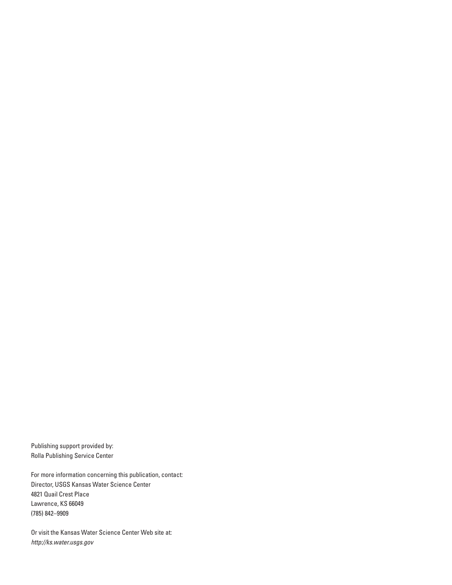Publishing support provided by: Rolla Publishing Service Center

For more information concerning this publication, contact: Director, USGS Kansas Water Science Center 4821 Quail Crest Place Lawrence, KS 66049 (785) 842–9909

Or visit the Kansas Water Science Center Web site at: *http://ks.water.usgs.gov*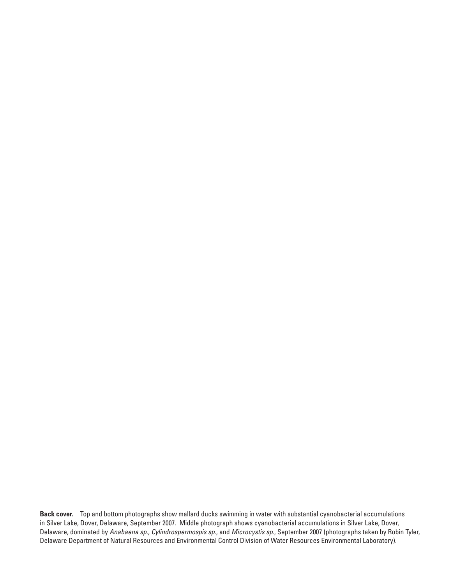**Back cover.** Top and bottom photographs show mallard ducks swimming in water with substantial cyanobacterial accumulations in Silver Lake, Dover, Delaware, September 2007. Middle photograph shows cyanobacterial accumulations in Silver Lake, Dover, Delaware, dominated by *Anabaena sp*., *Cylindrospermospis sp.*, and *Microcystis sp*., September 2007 (photographs taken by Robin Tyler, Delaware Department of Natural Resources and Environmental Control Division of Water Resources Environmental Laboratory).